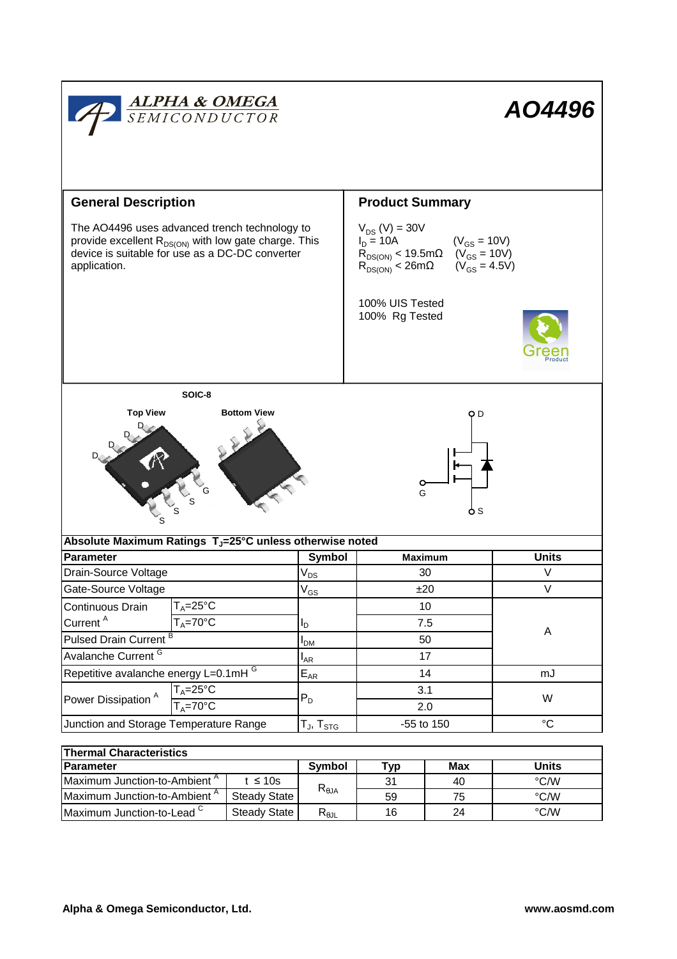

| <b>Parameter</b>                         |              | Symbol         | <b>Tvp</b> | Max | Units |  |  |  |  |
|------------------------------------------|--------------|----------------|------------|-----|-------|--|--|--|--|
| Maximum Junction-to-Ambient <sup>A</sup> | t ≤ 10s      | $R_{\theta$ JA | 31         | 40  | °C/W  |  |  |  |  |
| Maximum Junction-to-Ambient <sup>A</sup> | Steady State |                | 59         |     | °C/W  |  |  |  |  |
| Maximum Junction-to-Lead C               | Steady State | D<br>ᅐፀ⅃Լ      | 16         | 24  | °C/W  |  |  |  |  |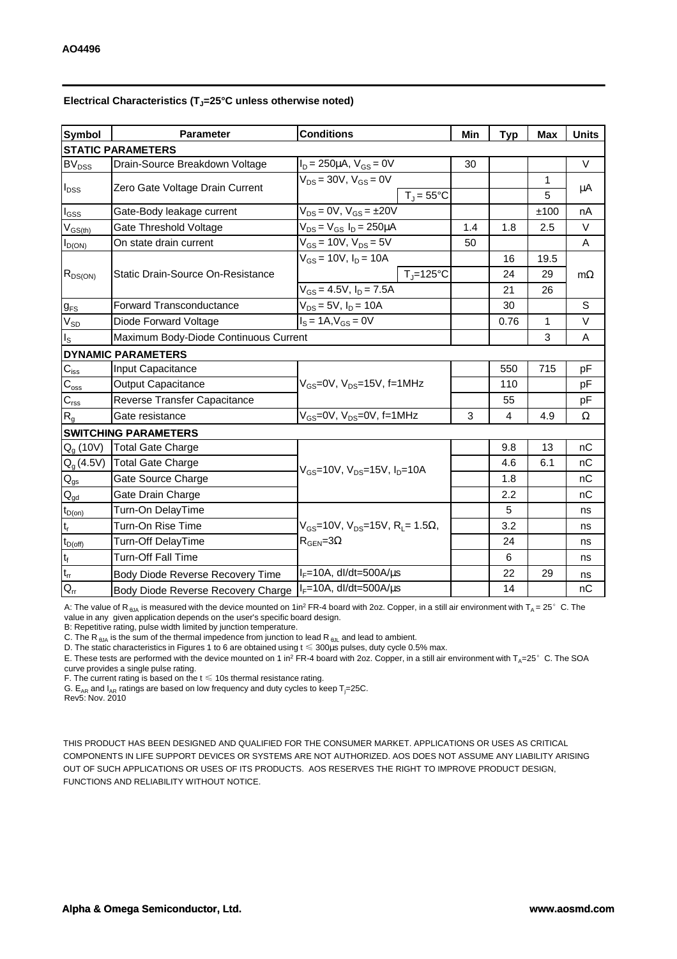| <b>Symbol</b>                          | <b>Parameter</b>                         | <b>Conditions</b>                                                                                  |                       | Min | <b>Typ</b>     | <b>Max</b> | <b>Units</b> |
|----------------------------------------|------------------------------------------|----------------------------------------------------------------------------------------------------|-----------------------|-----|----------------|------------|--------------|
|                                        | <b>STATIC PARAMETERS</b>                 |                                                                                                    |                       |     |                |            |              |
| $BV_{DSS}$                             | Drain-Source Breakdown Voltage           | $I_D = 250 \mu A$ , $V_{GS} = 0V$                                                                  |                       | 30  |                |            | $\vee$       |
| $I_{DSS}$                              | Zero Gate Voltage Drain Current          | $V_{DS}$ = 30V, $V_{GS}$ = 0V                                                                      |                       |     |                | 1          |              |
|                                        |                                          |                                                                                                    | $T_{\rm J}$ = 55°C    |     |                | 5          | μA           |
| $\mathsf{I}_{\mathsf{GSS}}$            | Gate-Body leakage current                | $V_{DS} = 0V$ , $V_{GS} = \pm 20V$                                                                 |                       |     |                | ±100       | nA           |
| $V_{GS(th)}$                           | Gate Threshold Voltage                   | $V_{DS} = V_{GS} I_D = 250 \mu A$                                                                  |                       | 1.4 | 1.8            | 2.5        | V            |
| $I_{D(ON)}$                            | On state drain current                   | $V_{GS}$ = 10V, $V_{DS}$ = 5V                                                                      |                       | 50  |                |            | A            |
| $R_{DS(ON)}$                           | <b>Static Drain-Source On-Resistance</b> | $V_{GS}$ = 10V, $I_D$ = 10A                                                                        |                       |     | 16             | 19.5       |              |
|                                        |                                          |                                                                                                    | $T_{\text{J}}$ =125°C |     | 24             | 29         | $m\Omega$    |
|                                        |                                          | $V_{GS} = 4.5V$ , $I_D = 7.5A$                                                                     |                       |     | 21             | 26         |              |
| $g_{FS}$                               | <b>Forward Transconductance</b>          | $V_{DS} = 5V$ , $I_D = 10A$                                                                        |                       |     | 30             |            | S            |
| $V_{SD}$                               | Diode Forward Voltage                    | $I_S = 1A, V_{GS} = 0V$                                                                            |                       |     | 0.76           | 1          | $\vee$       |
| $I_{\tt S}$                            | Maximum Body-Diode Continuous Current    |                                                                                                    |                       |     |                | 3          | A            |
|                                        | <b>DYNAMIC PARAMETERS</b>                |                                                                                                    |                       |     |                |            |              |
| $C_{\text{iss}}$                       | Input Capacitance                        | $V_{GS}$ =0V, $V_{DS}$ =15V, f=1MHz                                                                |                       |     | 550            | 715        | pF           |
| $C_{\rm{oss}}$                         | Output Capacitance                       |                                                                                                    |                       |     | 110            |            | pF           |
| $C_{\rm rss}$                          | Reverse Transfer Capacitance             |                                                                                                    |                       |     | 55             |            | pF           |
| $R_g$                                  | Gate resistance                          | $V_{GS}$ =0V, V <sub>DS</sub> =0V, f=1MHz                                                          |                       | 3   | $\overline{4}$ | 4.9        | Ω            |
|                                        | <b>SWITCHING PARAMETERS</b>              |                                                                                                    |                       |     |                |            |              |
| $Q_q(10V)$                             | <b>Total Gate Charge</b>                 | $V_{GS}$ =10V, $V_{DS}$ =15V, $I_{D}$ =10A                                                         |                       |     | 9.8            | 13         | nC           |
| $Q_{g}$ (4.5V)                         | <b>Total Gate Charge</b>                 |                                                                                                    |                       |     | 4.6            | 6.1        | nC           |
| $\mathsf{Q}_{\text{gs}}$               | Gate Source Charge                       |                                                                                                    |                       |     | 1.8            |            | пC           |
| $\mathsf{Q}_{\underline{\mathsf{gd}}}$ | Gate Drain Charge                        |                                                                                                    |                       |     | 2.2            |            | nC           |
| $t_{D(0n)}$                            | Turn-On DelayTime                        |                                                                                                    |                       |     | 5              |            | ns           |
| t,                                     | Turn-On Rise Time                        | $V_{GS}$ =10V, V <sub>DS</sub> =15V, R <sub>L</sub> = 1.5 $\Omega$ ,<br>$R_{\text{GEN}} = 3\Omega$ |                       |     | 3.2            |            | ns           |
| $t_{D(off)}$                           | <b>Turn-Off DelayTime</b>                |                                                                                                    |                       |     | 24             |            | ns           |
| $\mathfrak{t}_{\mathfrak{f}}$          | Turn-Off Fall Time                       |                                                                                                    |                       |     | 6              |            | ns           |
| $\mathfrak{t}_{\text{rr}}$             | Body Diode Reverse Recovery Time         | $I_F = 10A$ , dl/dt=500A/ $\mu$ s                                                                  |                       |     | 22             | 29         | ns           |
| $Q_{rr}$                               | Body Diode Reverse Recovery Charge       | $I_F = 10A$ , dl/dt=500A/ $\mu$ s                                                                  |                       |     | 14             |            | nC           |

## **Electrical Characteristics (TJ=25°C unless otherwise noted)**

A: The value of R<sub>BJA</sub> is measured with the device mounted on 1in<sup>2</sup> FR-4 board with 2oz. Copper, in a still air environment with T<sub>A</sub> = 25°C. The value in any given application depends on the user's specific board design.

B: Repetitive rating, pulse width limited by junction temperature.

C. The R<sub>θJA</sub> is the sum of the thermal impedence from junction to lead R<sub>θJL</sub> and lead to ambient.

D. The static characteristics in Figures 1 to 6 are obtained using  $t \leq 300 \mu s$  pulses, duty cycle 0.5% max.

E. These tests are performed with the device mounted on 1 in<sup>2</sup> FR-4 board with 2oz. Copper, in a still air environment with  $T_A=25^\circ$  C. The SOA curve provides a single pulse rating.

F. The current rating is based on the  $t \leq 10$ s thermal resistance rating.

G.  $E_{AR}$  and  $I_{AR}$  ratings are based on low frequency and duty cycles to keep  $T_j=25C$ . Rev5: Nov. 2010

THIS PRODUCT HAS BEEN DESIGNED AND QUALIFIED FOR THE CONSUMER MARKET. APPLICATIONS OR USES AS CRITICAL COMPONENTS IN LIFE SUPPORT DEVICES OR SYSTEMS ARE NOT AUTHORIZED. AOS DOES NOT ASSUME ANY LIABILITY ARISING OUT OF SUCH APPLICATIONS OR USES OF ITS PRODUCTS. AOS RESERVES THE RIGHT TO IMPROVE PRODUCT DESIGN, FUNCTIONS AND RELIABILITY WITHOUT NOTICE.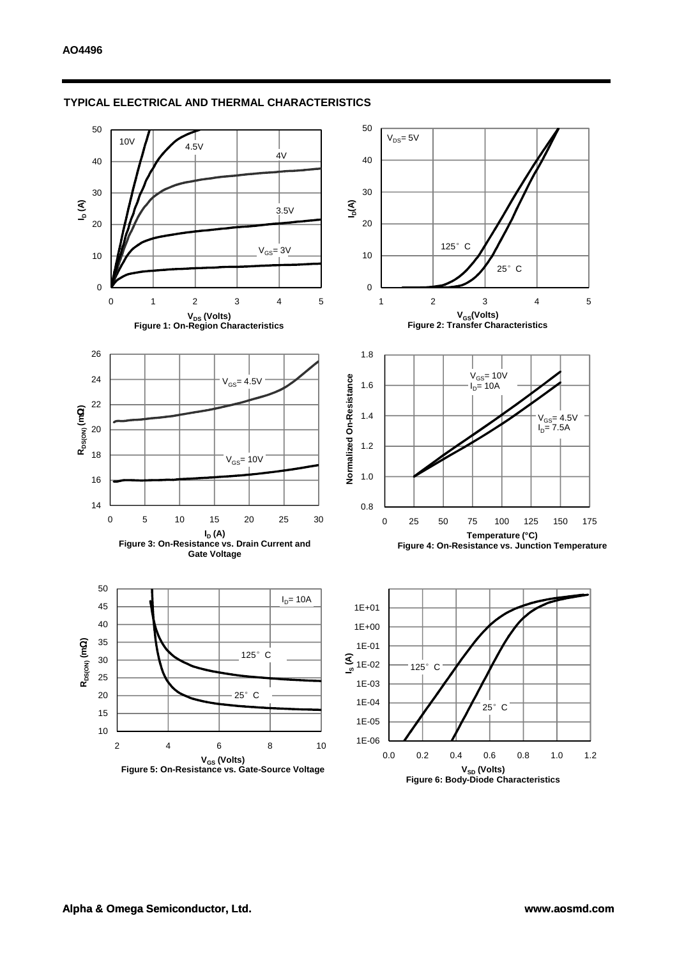

#### **TYPICAL ELECTRICAL AND THERMAL CHARACTERISTICS**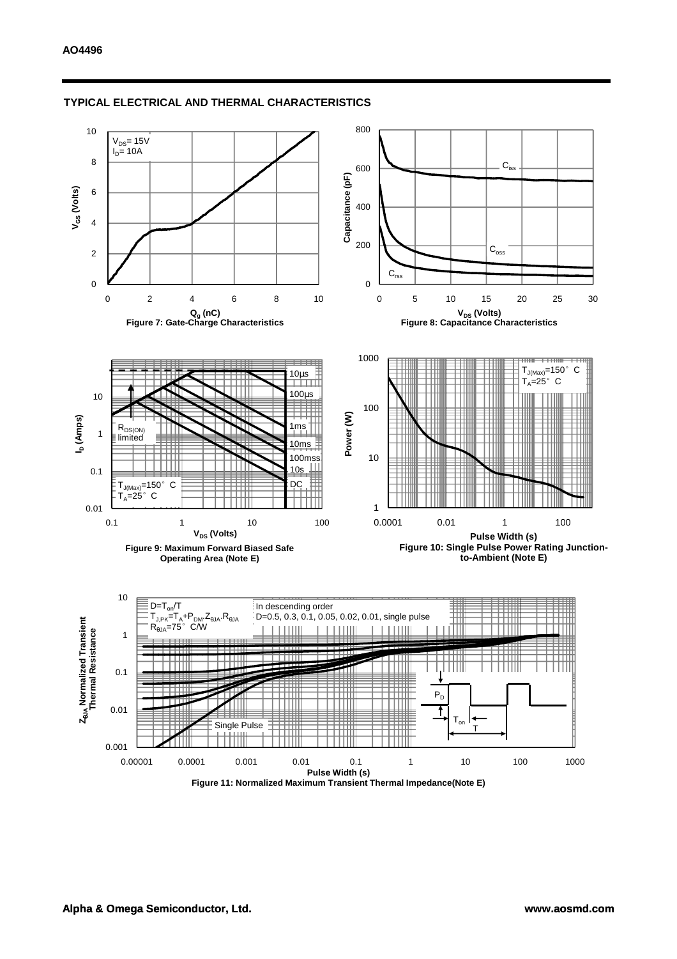

#### **TYPICAL ELECTRICAL AND THERMAL CHARACTERISTICS**